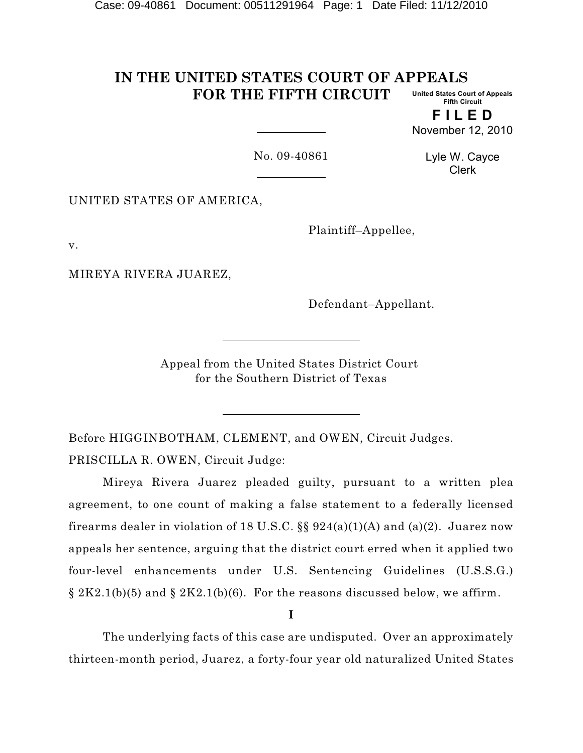#### **IN THE UNITED STATES COURT OF APPEALS FOR THE FIFTH CIRCUIT United States Court of Appeals Fifth Circuit**

**F I L E D** November 12, 2010

No. 09-40861

Lyle W. Cayce Clerk

UNITED STATES OF AMERICA,

Plaintiff–Appellee,

v.

MIREYA RIVERA JUAREZ,

Defendant–Appellant.

Appeal from the United States District Court for the Southern District of Texas

Before HIGGINBOTHAM, CLEMENT, and OWEN, Circuit Judges.

PRISCILLA R. OWEN, Circuit Judge:

Mireya Rivera Juarez pleaded guilty, pursuant to a written plea agreement, to one count of making a false statement to a federally licensed firearms dealer in violation of 18 U.S.C.  $\S$   $924(a)(1)(A)$  and  $(a)(2)$ . Juarez now appeals her sentence, arguing that the district court erred when it applied two four-level enhancements under U.S. Sentencing Guidelines (U.S.S.G.)  $\S 2K2.1(b)(5)$  and  $\S 2K2.1(b)(6)$ . For the reasons discussed below, we affirm.

**I**

The underlying facts of this case are undisputed. Over an approximately thirteen-month period, Juarez, a forty-four year old naturalized United States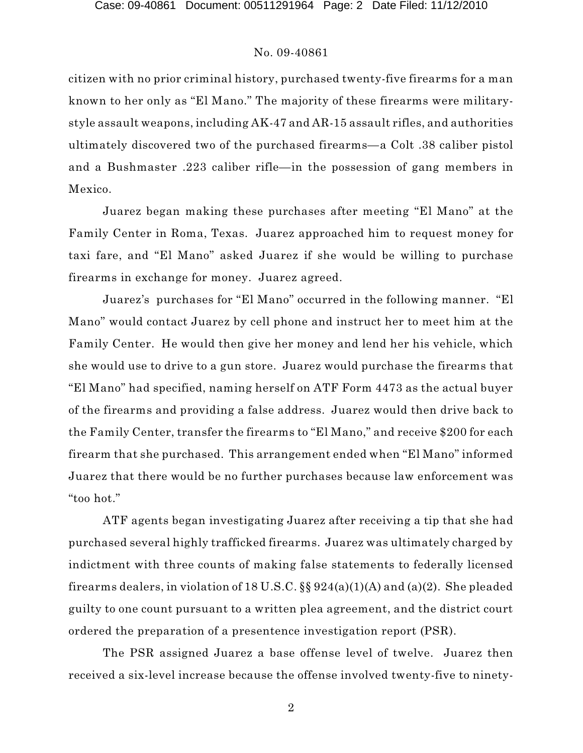citizen with no prior criminal history, purchased twenty-five firearms for a man known to her only as "El Mano." The majority of these firearms were militarystyle assault weapons, including AK-47 and AR-15 assault rifles, and authorities ultimately discovered two of the purchased firearms—a Colt .38 caliber pistol and a Bushmaster .223 caliber rifle—in the possession of gang members in Mexico.

Juarez began making these purchases after meeting "El Mano" at the Family Center in Roma, Texas. Juarez approached him to request money for taxi fare, and "El Mano" asked Juarez if she would be willing to purchase firearms in exchange for money. Juarez agreed.

Juarez's purchases for "El Mano" occurred in the following manner. "El Mano" would contact Juarez by cell phone and instruct her to meet him at the Family Center. He would then give her money and lend her his vehicle, which she would use to drive to a gun store. Juarez would purchase the firearms that "El Mano" had specified, naming herself on ATF Form 4473 as the actual buyer of the firearms and providing a false address. Juarez would then drive back to the Family Center, transfer the firearms to "El Mano," and receive \$200 for each firearm that she purchased. This arrangement ended when "El Mano" informed Juarez that there would be no further purchases because law enforcement was "too hot."

ATF agents began investigating Juarez after receiving a tip that she had purchased several highly trafficked firearms. Juarez was ultimately charged by indictment with three counts of making false statements to federally licensed firearms dealers, in violation of  $18$  U.S.C.  $\S$  $924(a)(1)(A)$  and  $(a)(2)$ . She pleaded guilty to one count pursuant to a written plea agreement, and the district court ordered the preparation of a presentence investigation report (PSR).

The PSR assigned Juarez a base offense level of twelve. Juarez then received a six-level increase because the offense involved twenty-five to ninety-

2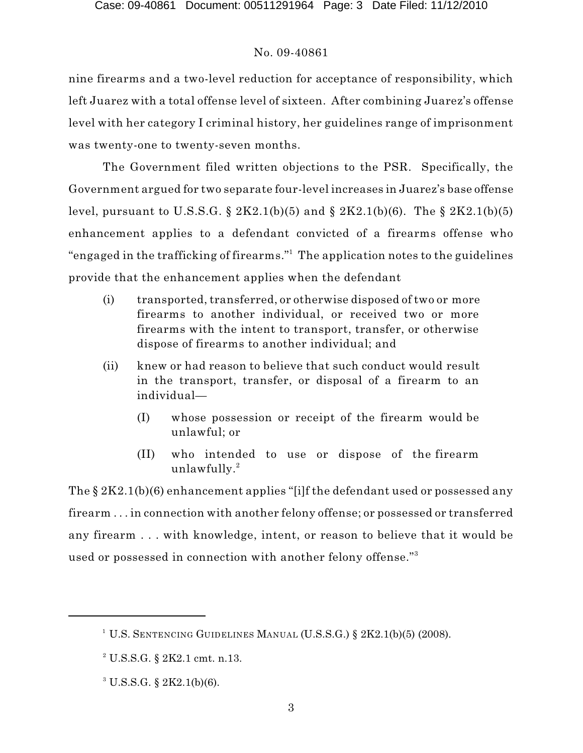nine firearms and a two-level reduction for acceptance of responsibility, which left Juarez with a total offense level of sixteen. After combining Juarez's offense level with her category I criminal history, her guidelines range of imprisonment was twenty-one to twenty-seven months.

The Government filed written objections to the PSR. Specifically, the Government argued for two separate four-level increases in Juarez's base offense level, pursuant to U.S.S.G.  $\S 2K2.1(b)(5)$  and  $\S 2K2.1(b)(6)$ . The  $\S 2K2.1(b)(5)$ enhancement applies to a defendant convicted of a firearms offense who "engaged in the trafficking of firearms." The application notes to the guidelines 1 provide that the enhancement applies when the defendant

- (i) transported, transferred, or otherwise disposed of two or more firearms to another individual, or received two or more firearms with the intent to transport, transfer, or otherwise dispose of firearms to another individual; and
- (ii) knew or had reason to believe that such conduct would result in the transport, transfer, or disposal of a firearm to an individual—
	- (I) whose possession or receipt of the firearm would be unlawful; or
	- (II) who intended to use or dispose of the firearm  $\boldsymbol{\mathrm{unlawfully.}}^2$

The § 2K2.1(b)(6) enhancement applies "[i]f the defendant used or possessed any firearm . . . in connection with another felony offense; or possessed or transferred any firearm . . . with knowledge, intent, or reason to believe that it would be used or possessed in connection with another felony offense." 3

<sup>&</sup>lt;sup>1</sup> U.S. SENTENCING GUIDELINES MANUAL (U.S.S.G.)  $§ 2K2.1(b)(5) (2008)$ .

 $2$  U.S.S.G. § 2K2.1 cmt. n.13.

 $3 \text{ U.S.S.G. }$  § 2K2.1(b)(6).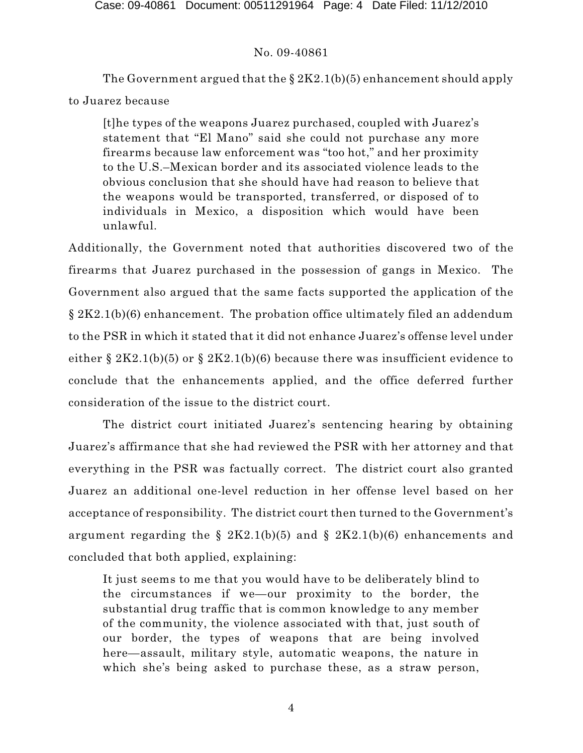The Government argued that the § 2K2.1(b)(5) enhancement should apply

to Juarez because

[t]he types of the weapons Juarez purchased, coupled with Juarez's statement that "El Mano" said she could not purchase any more firearms because law enforcement was "too hot," and her proximity to the U.S.–Mexican border and its associated violence leads to the obvious conclusion that she should have had reason to believe that the weapons would be transported, transferred, or disposed of to individuals in Mexico, a disposition which would have been unlawful.

Additionally, the Government noted that authorities discovered two of the firearms that Juarez purchased in the possession of gangs in Mexico. The Government also argued that the same facts supported the application of the § 2K2.1(b)(6) enhancement. The probation office ultimately filed an addendum to the PSR in which it stated that it did not enhance Juarez's offense level under either § 2K2.1(b)(5) or § 2K2.1(b)(6) because there was insufficient evidence to conclude that the enhancements applied, and the office deferred further consideration of the issue to the district court.

The district court initiated Juarez's sentencing hearing by obtaining Juarez's affirmance that she had reviewed the PSR with her attorney and that everything in the PSR was factually correct. The district court also granted Juarez an additional one-level reduction in her offense level based on her acceptance of responsibility. The district court then turned to the Government's argument regarding the  $\S 2K2.1(b)(5)$  and  $\S 2K2.1(b)(6)$  enhancements and concluded that both applied, explaining:

It just seems to me that you would have to be deliberately blind to the circumstances if we—our proximity to the border, the substantial drug traffic that is common knowledge to any member of the community, the violence associated with that, just south of our border, the types of weapons that are being involved here—assault, military style, automatic weapons, the nature in which she's being asked to purchase these, as a straw person,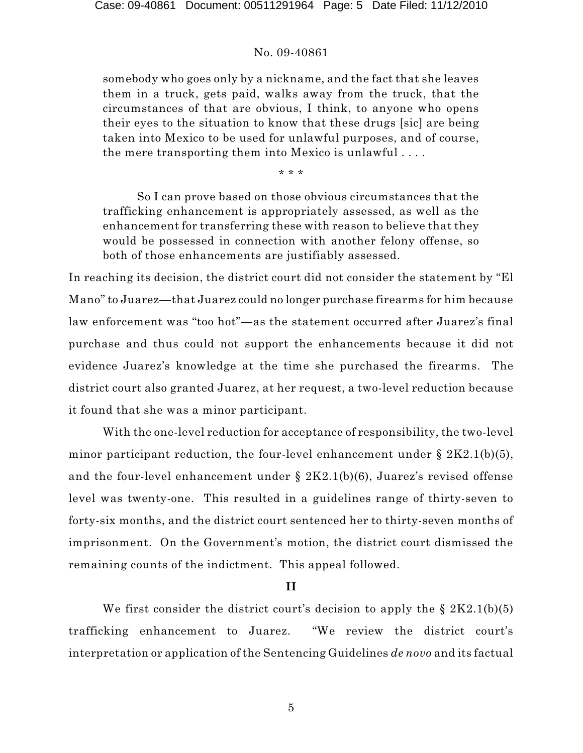somebody who goes only by a nickname, and the fact that she leaves them in a truck, gets paid, walks away from the truck, that the circumstances of that are obvious, I think, to anyone who opens their eyes to the situation to know that these drugs [sic] are being taken into Mexico to be used for unlawful purposes, and of course, the mere transporting them into Mexico is unlawful . . . .

\* \* \*

So I can prove based on those obvious circumstances that the trafficking enhancement is appropriately assessed, as well as the enhancement for transferring these with reason to believe that they would be possessed in connection with another felony offense, so both of those enhancements are justifiably assessed.

In reaching its decision, the district court did not consider the statement by "El Mano" to Juarez—that Juarez could no longer purchase firearms for him because law enforcement was "too hot"—as the statement occurred after Juarez's final purchase and thus could not support the enhancements because it did not evidence Juarez's knowledge at the time she purchased the firearms. The district court also granted Juarez, at her request, a two-level reduction because it found that she was a minor participant.

With the one-level reduction for acceptance of responsibility, the two-level minor participant reduction, the four-level enhancement under  $\S 2K2.1(b)(5)$ , and the four-level enhancement under § 2K2.1(b)(6), Juarez's revised offense level was twenty-one. This resulted in a guidelines range of thirty-seven to forty-six months, and the district court sentenced her to thirty-seven months of imprisonment. On the Government's motion, the district court dismissed the remaining counts of the indictment. This appeal followed.

# **II**

We first consider the district court's decision to apply the  $\S 2K2.1(b)(5)$ trafficking enhancement to Juarez. "We review the district court's interpretation or application of the Sentencing Guidelines *de novo* and its factual

5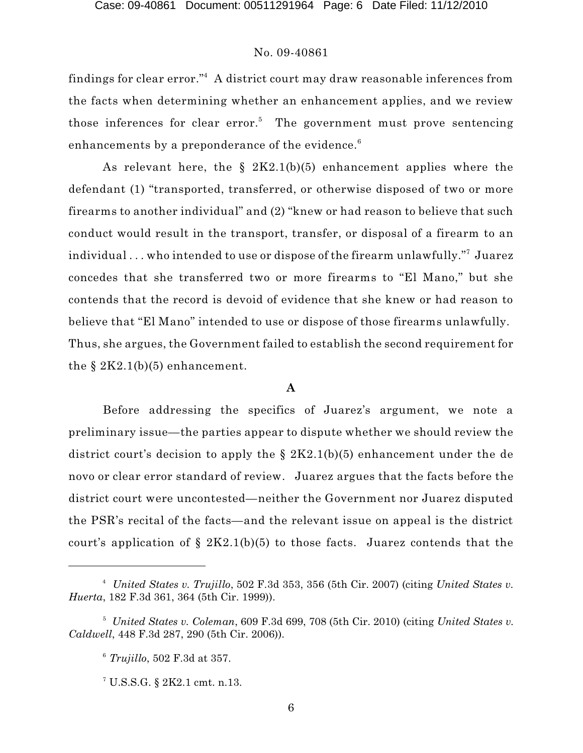findings for clear error."<sup>4</sup> A district court may draw reasonable inferences from the facts when determining whether an enhancement applies, and we review those inferences for clear error.<sup>5</sup> The government must prove sentencing enhancements by a preponderance of the evidence. $^6$ 

As relevant here, the  $\S 2K2.1(b)(5)$  enhancement applies where the defendant (1) "transported, transferred, or otherwise disposed of two or more firearms to another individual" and (2) "knew or had reason to believe that such conduct would result in the transport, transfer, or disposal of a firearm to an individual  $\ldots$  who intended to use or dispose of the firearm unlawfully."  $\it Juarez$ concedes that she transferred two or more firearms to "El Mano," but she contends that the record is devoid of evidence that she knew or had reason to believe that "El Mano" intended to use or dispose of those firearms unlawfully. Thus, she argues, the Government failed to establish the second requirement for the  $\S 2K2.1(b)(5)$  enhancement.

### **A**

Before addressing the specifics of Juarez's argument, we note a preliminary issue—the parties appear to dispute whether we should review the district court's decision to apply the  $\S 2K2.1(b)(5)$  enhancement under the de novo or clear error standard of review. Juarez argues that the facts before the district court were uncontested—neither the Government nor Juarez disputed the PSR's recital of the facts—and the relevant issue on appeal is the district court's application of  $\S 2K2.1(b)(5)$  to those facts. Juarez contends that the

*United States v. Trujillo*, 502 F.3d 353, 356 (5th Cir. 2007) (citing *United States v.* <sup>4</sup> *Huerta*, 182 F.3d 361, 364 (5th Cir. 1999)).

*United States v. Coleman*, 609 F.3d 699, 708 (5th Cir. 2010) (citing *United States v.* <sup>5</sup> *Caldwell*, 448 F.3d 287, 290 (5th Cir. 2006)).

*Trujillo*, 502 F.3d at 357. 6

 $^7$  U.S.S.G. § 2K2.1 cmt. n.13.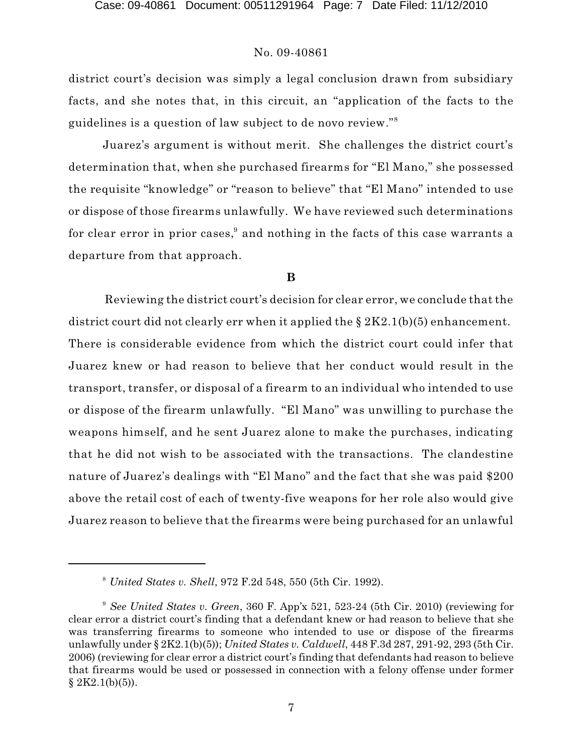district court's decision was simply a legal conclusion drawn from subsidiary facts, and she notes that, in this circuit, an "application of the facts to the guidelines is a question of law subject to de novo review." 8

Juarez's argument is without merit. She challenges the district court's determination that, when she purchased firearms for "El Mano," she possessed the requisite "knowledge" or "reason to believe" that "El Mano" intended to use or dispose of those firearms unlawfully. We have reviewed such determinations for clear error in prior cases, $^9$  and nothing in the facts of this case warrants a departure from that approach.

# **B**

Reviewing the district court's decision for clear error, we conclude that the district court did not clearly err when it applied the § 2K2.1(b)(5) enhancement. There is considerable evidence from which the district court could infer that Juarez knew or had reason to believe that her conduct would result in the transport, transfer, or disposal of a firearm to an individual who intended to use or dispose of the firearm unlawfully. "El Mano" was unwilling to purchase the weapons himself, and he sent Juarez alone to make the purchases, indicating that he did not wish to be associated with the transactions. The clandestine nature of Juarez's dealings with "El Mano" and the fact that she was paid \$200 above the retail cost of each of twenty-five weapons for her role also would give Juarez reason to believe that the firearms were being purchased for an unlawful

*United States v. Shell*, 972 F.2d 548, 550 (5th Cir. 1992). 8

*See United States v. Green*, 360 F. App'x 521, 523-24 (5th Cir. 2010) (reviewing for 9 clear error a district court's finding that a defendant knew or had reason to believe that she was transferring firearms to someone who intended to use or dispose of the firearms unlawfully under § 2K2.1(b)(5)); *United States v. Caldwell*, 448 F.3d 287, 291-92, 293 (5th Cir. 2006) (reviewing for clear error a district court's finding that defendants had reason to believe that firearms would be used or possessed in connection with a felony offense under former  $§ 2K2.1(b)(5)).$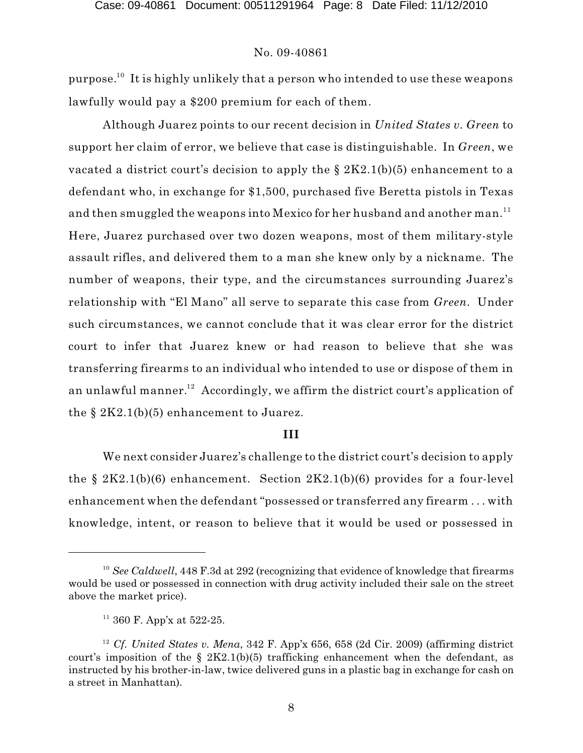purpose. $^{\rm 10}$  It is highly unlikely that a person who intended to use these weapons lawfully would pay a \$200 premium for each of them.

Although Juarez points to our recent decision in *United States v. Green* to support her claim of error, we believe that case is distinguishable. In *Green*, we vacated a district court's decision to apply the  $\S 2K2.1(b)(5)$  enhancement to a defendant who, in exchange for \$1,500, purchased five Beretta pistols in Texas and then smuggled the weapons into Mexico for her husband and another man. $^{\rm 11}$ Here, Juarez purchased over two dozen weapons, most of them military-style assault rifles, and delivered them to a man she knew only by a nickname. The number of weapons, their type, and the circumstances surrounding Juarez's relationship with "El Mano" all serve to separate this case from *Green.* Under such circumstances, we cannot conclude that it was clear error for the district court to infer that Juarez knew or had reason to believe that she was transferring firearms to an individual who intended to use or dispose of them in an unlawful manner. $^{\rm 12}$  Accordingly, we affirm the district court's application of the  $\S 2K2.1(b)(5)$  enhancement to Juarez.

# **III**

We next consider Juarez's challenge to the district court's decision to apply the  $\S 2K2.1(b)(6)$  enhancement. Section  $2K2.1(b)(6)$  provides for a four-level enhancement when the defendant "possessed or transferred any firearm . . . with knowledge, intent, or reason to believe that it would be used or possessed in

<sup>&</sup>lt;sup>10</sup> See Caldwell, 448 F.3d at 292 (recognizing that evidence of knowledge that firearms would be used or possessed in connection with drug activity included their sale on the street above the market price).

 $11$  360 F. App'x at 522-25.

<sup>&</sup>lt;sup>12</sup> Cf. *United States v. Mena*, 342 F. App'x 656, 658 (2d Cir. 2009) (affirming district court's imposition of the  $\S 2K2.1(b)(5)$  trafficking enhancement when the defendant, as instructed by his brother-in-law, twice delivered guns in a plastic bag in exchange for cash on a street in Manhattan).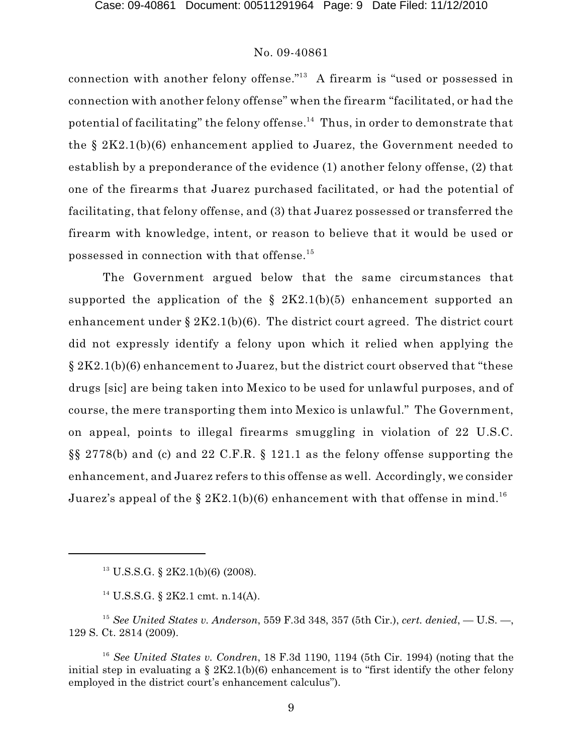connection with another felony offense."<sup>13</sup> A firearm is "used or possessed in connection with another felony offense" when the firearm "facilitated, or had the potential of facilitating" the felony offense. $^{\rm 14}$  Thus, in order to demonstrate that the § 2K2.1(b)(6) enhancement applied to Juarez, the Government needed to establish by a preponderance of the evidence (1) another felony offense, (2) that one of the firearms that Juarez purchased facilitated, or had the potential of facilitating, that felony offense, and (3) that Juarez possessed or transferred the firearm with knowledge, intent, or reason to believe that it would be used or possessed in connection with that offense. 15

The Government argued below that the same circumstances that supported the application of the  $\S 2K2.1(b)(5)$  enhancement supported an enhancement under § 2K2.1(b)(6). The district court agreed. The district court did not expressly identify a felony upon which it relied when applying the § 2K2.1(b)(6) enhancement to Juarez, but the district court observed that "these drugs [sic] are being taken into Mexico to be used for unlawful purposes, and of course, the mere transporting them into Mexico is unlawful." The Government, on appeal, points to illegal firearms smuggling in violation of 22 U.S.C. §§ 2778(b) and (c) and 22 C.F.R. § 121.1 as the felony offense supporting the enhancement, and Juarez refers to this offense as well. Accordingly, we consider Juarez's appeal of the § 2K2.1(b)(6) enhancement with that offense in mind.<sup>16</sup>

 $13$  U.S.S.G. § 2K2.1(b)(6) (2008).

 $14$  U.S.S.G. § 2K2.1 cmt. n.14(A).

*See United States v. Anderson*, 559 F.3d 348, 357 (5th Cir.), *cert. denied*, — U.S. —, 15 129 S. Ct. 2814 (2009).

<sup>&</sup>lt;sup>16</sup> See United States *v.* Condren, 18 F.3d 1190, 1194 (5th Cir. 1994) (noting that the initial step in evaluating a  $\S 2K2.1(b)(6)$  enhancement is to "first identify the other felony employed in the district court's enhancement calculus").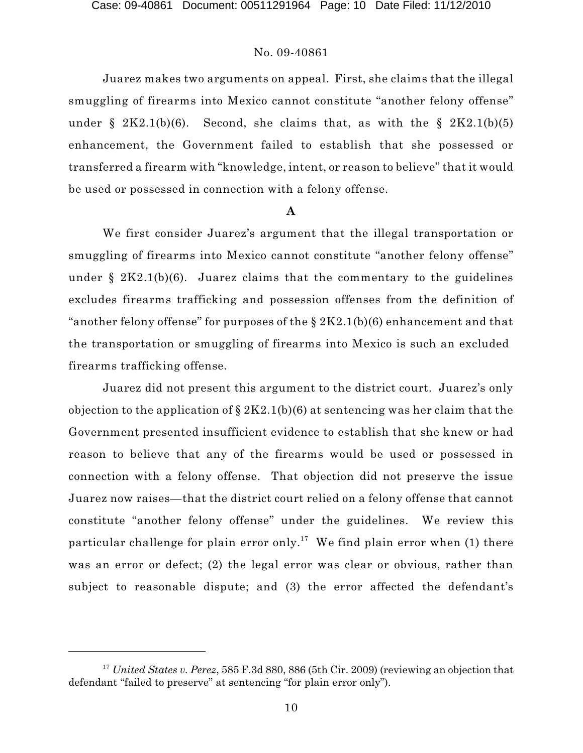Juarez makes two arguments on appeal. First, she claims that the illegal smuggling of firearms into Mexico cannot constitute "another felony offense" under § 2K2.1(b)(6). Second, she claims that, as with the § 2K2.1(b)(5) enhancement, the Government failed to establish that she possessed or transferred a firearm with "knowledge, intent, or reason to believe" that it would be used or possessed in connection with a felony offense.

# **A**

We first consider Juarez's argument that the illegal transportation or smuggling of firearms into Mexico cannot constitute "another felony offense" under  $\S 2K2.1(b)(6)$ . Juarez claims that the commentary to the guidelines excludes firearms trafficking and possession offenses from the definition of "another felony offense" for purposes of the  $\S 2K2.1(b)(6)$  enhancement and that the transportation or smuggling of firearms into Mexico is such an excluded firearms trafficking offense.

Juarez did not present this argument to the district court. Juarez's only objection to the application of § 2K2.1(b)(6) at sentencing was her claim that the Government presented insufficient evidence to establish that she knew or had reason to believe that any of the firearms would be used or possessed in connection with a felony offense. That objection did not preserve the issue Juarez now raises—that the district court relied on a felony offense that cannot constitute "another felony offense" under the guidelines. We review this particular challenge for plain error only.<sup>17</sup> We find plain error when (1) there was an error or defect; (2) the legal error was clear or obvious, rather than subject to reasonable dispute; and (3) the error affected the defendant's

<sup>&</sup>lt;sup>17</sup> United States v. Perez, 585 F.3d 880, 886 (5th Cir. 2009) (reviewing an objection that defendant "failed to preserve" at sentencing "for plain error only").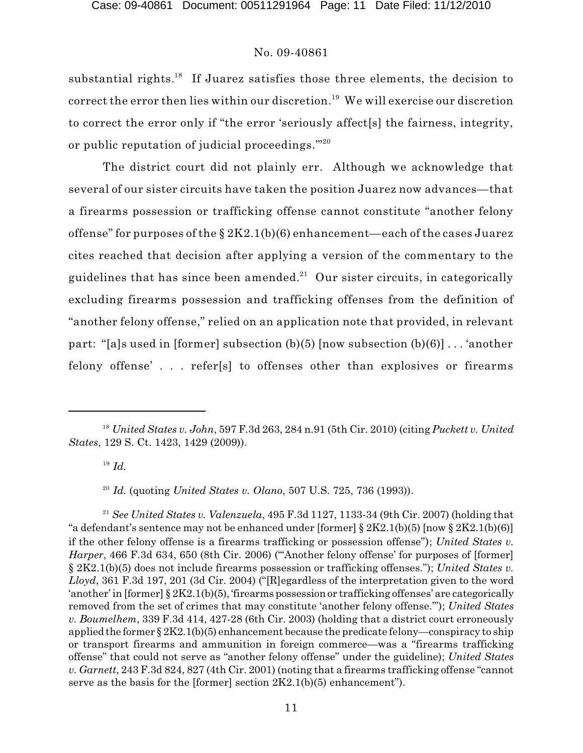substantial rights.<sup>18</sup> If Juarez satisfies those three elements, the decision to correct the error then lies within our discretion. $^{19}\,$  We will exercise our discretion to correct the error only if "the error 'seriously affect[s] the fairness, integrity, or public reputation of judicial proceedings." $^{\scriptscriptstyle 20}$ 

The district court did not plainly err. Although we acknowledge that several of our sister circuits have taken the position Juarez now advances—that a firearms possession or trafficking offense cannot constitute "another felony offense" for purposes of the  $\S 2K2.1(b)(6)$  enhancement—each of the cases Juarez cites reached that decision after applying a version of the commentary to the guidelines that has since been amended. $^{21}$  Our sister circuits, in categorically excluding firearms possession and trafficking offenses from the definition of "another felony offense," relied on an application note that provided, in relevant part: "[a]s used in [former] subsection (b)(5) [now subsection (b)(6)] . . . 'another felony offense' . . . refer[s] to offenses other than explosives or firearms

 $^{19}$  *Id.* 

<sup>20</sup> Id. (quoting *United States v. Olano*, 507 U.S. 725, 736 (1993)).

<sup>21</sup> See *United States v. Valenzuela*,  $495$  F.3d  $1127$ ,  $1133-34$  (9th Cir. 2007) (holding that "a defendant's sentence may not be enhanced under [former]  $\S 2K2.1(b)(5)$  [now  $\S 2K2.1(b)(6)$ ] if the other felony offense is a firearms trafficking or possession offense"); *United States v. Harper*, 466 F.3d 634, 650 (8th Cir. 2006) ("Another felony offense' for purposes of [former] § 2K2.1(b)(5) does not include firearms possession or trafficking offenses."); *United States v. Lloyd*, 361 F.3d 197, 201 (3d Cir. 2004) ("[R]egardless of the interpretation given to the word 'another' in [former]  $\S 2K2.1(b)(5)$ , 'firearms possession or trafficking offenses' are categorically removed from the set of crimes that may constitute 'another felony offense.'"); *United States v. Boumelhem*, 339 F.3d 414, 427-28 (6th Cir. 2003) (holding that a district court erroneously applied the former  $\S 2K2.1(b)(5)$  enhancement because the predicate felony—conspiracy to ship or transport firearms and ammunition in foreign commerce—was a "firearms trafficking offense" that could not serve as "another felony offense" under the guideline); *United States v. Garnett*, 243 F.3d 824, 827 (4th Cir. 2001) (noting that a firearms trafficking offense "cannot serve as the basis for the [former] section 2K2.1(b)(5) enhancement").

*United States v. John*, 597 F.3d 263, 284 n.91 (5th Cir. 2010) (citing *Puckett v. United* <sup>18</sup> *States*, 129 S. Ct. 1423, 1429 (2009)).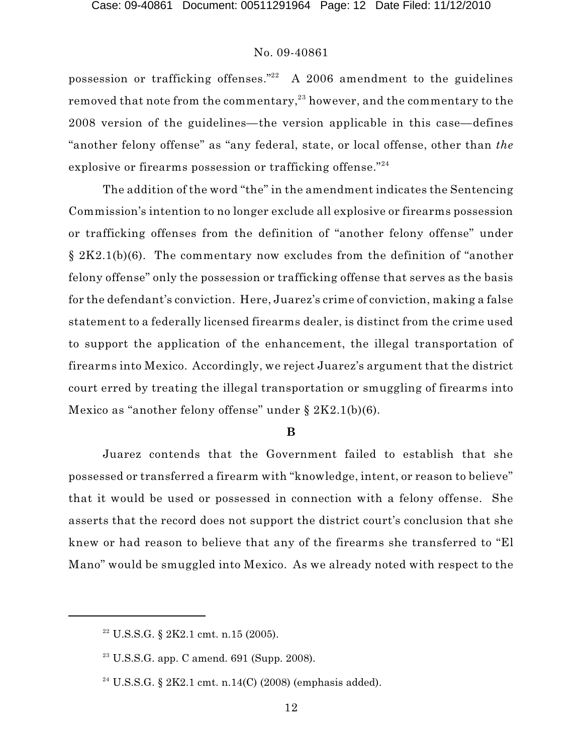possession or trafficking offenses." $^{22}$  A 2006 amendment to the guidelines removed that note from the commentary, $^{\rm 23}$  however, and the commentary to the 2008 version of the guidelines—the version applicable in this case—defines "another felony offense" as "any federal, state, or local offense, other than *the* explosive or firearms possession or trafficking offense." 24

The addition of the word "the" in the amendment indicates the Sentencing Commission's intention to no longer exclude all explosive or firearms possession or trafficking offenses from the definition of "another felony offense" under § 2K2.1(b)(6). The commentary now excludes from the definition of "another felony offense" only the possession or trafficking offense that serves as the basis for the defendant's conviction. Here, Juarez's crime of conviction, making a false statement to a federally licensed firearms dealer, is distinct from the crime used to support the application of the enhancement, the illegal transportation of firearms into Mexico. Accordingly, we reject Juarez's argument that the district court erred by treating the illegal transportation or smuggling of firearms into Mexico as "another felony offense" under § 2K2.1(b)(6).

### **B**

Juarez contends that the Government failed to establish that she possessed or transferred a firearm with "knowledge, intent, or reason to believe" that it would be used or possessed in connection with a felony offense. She asserts that the record does not support the district court's conclusion that she knew or had reason to believe that any of the firearms she transferred to "El Mano" would be smuggled into Mexico. As we already noted with respect to the

<sup>&</sup>lt;sup>22</sup> U.S.S.G. § 2K2.1 cmt. n.15 (2005).

 $23$  U.S.S.G. app. C amend. 691 (Supp. 2008).

 $24$  U.S.S.G. § 2K2.1 cmt. n.14(C) (2008) (emphasis added).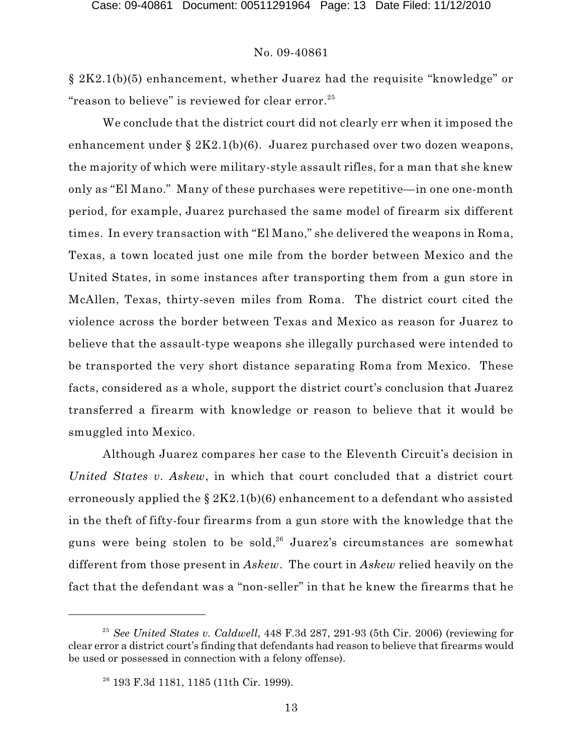§ 2K2.1(b)(5) enhancement, whether Juarez had the requisite "knowledge" or "reason to believe" is reviewed for clear error. $^{25}$ 

We conclude that the district court did not clearly err when it imposed the enhancement under § 2K2.1(b)(6). Juarez purchased over two dozen weapons, the majority of which were military-style assault rifles, for a man that she knew only as "El Mano." Many of these purchases were repetitive—in one one-month period, for example, Juarez purchased the same model of firearm six different times. In every transaction with "El Mano," she delivered the weapons in Roma, Texas, a town located just one mile from the border between Mexico and the United States, in some instances after transporting them from a gun store in McAllen, Texas, thirty-seven miles from Roma. The district court cited the violence across the border between Texas and Mexico as reason for Juarez to believe that the assault-type weapons she illegally purchased were intended to be transported the very short distance separating Roma from Mexico. These facts, considered as a whole, support the district court's conclusion that Juarez transferred a firearm with knowledge or reason to believe that it would be smuggled into Mexico.

Although Juarez compares her case to the Eleventh Circuit's decision in *United States v. Askew*, in which that court concluded that a district court erroneously applied the  $\S 2K2.1(b)(6)$  enhancement to a defendant who assisted in the theft of fifty-four firearms from a gun store with the knowledge that the guns were being stolen to be sold,  $26$  Juarez's circumstances are somewhat different from those present in *Askew*. The court in *Askew* relied heavily on the fact that the defendant was a "non-seller" in that he knew the firearms that he

<sup>&</sup>lt;sup>25</sup> See United States v. Caldwell, 448 F.3d 287, 291-93 (5th Cir. 2006) (reviewing for clear error a district court's finding that defendants had reason to believe that firearms would be used or possessed in connection with a felony offense).

<sup>&</sup>lt;sup>26</sup> 193 F.3d 1181, 1185 (11th Cir. 1999).